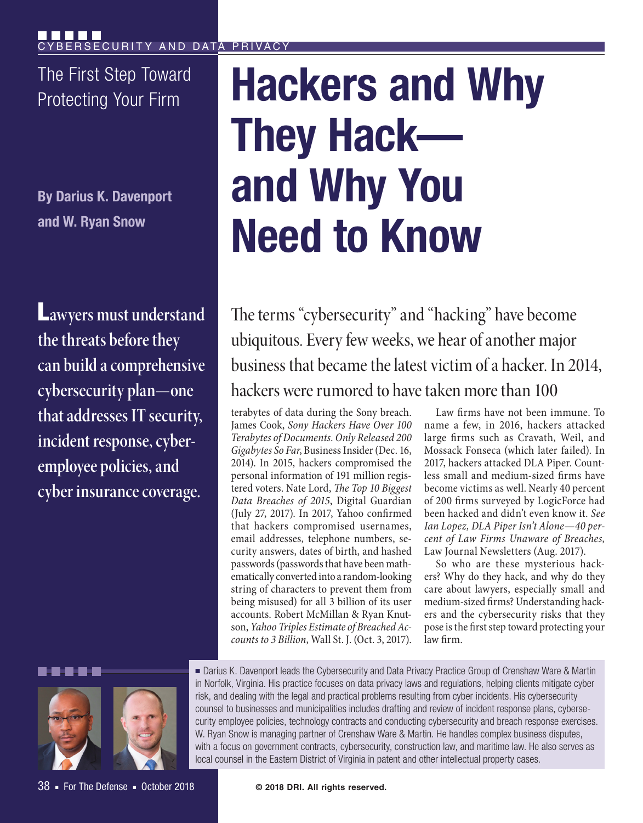The First Step Toward

**By Darius K. Davenport and W. Ryan Snow**

L**awyers must understand the threats before they can build a comprehensive cybersecurity plan—one that addresses IT security, incident response, cyberemployee policies, and cyber insurance coverage.**

# **The First Step Toward | Hackers and Why They Hack and Why You Need to Know**

The terms "cybersecurity" and "hacking" have become ubiquitous. Every few weeks, we hear of another major business that became the latest victim of a hacker. In 2014, hackers were rumored to have taken more than 100

terabytes of data during the Sony breach. James Cook, *Sony Hackers Have Over 100 Terabytes of Documents. Only Released 200 Gigabytes So Far*, Business Insider (Dec. 16, 2014). In 2015, hackers compromised the personal information of 191 million registered voters. Nate Lord, *The Top 10 Biggest Data Breaches of 2015*, Digital Guardian (July 27, 2017). In 2017, Yahoo confirmed that hackers compromised usernames, email addresses, telephone numbers, security answers, dates of birth, and hashed passwords (passwords that have been mathematically converted into a random-looking string of characters to prevent them from being misused) for all 3 billion of its user accounts. Robert McMillan & Ryan Knutson, *Yahoo Triples Estimate of Breached Accounts to 3 Billion*, Wall St. J. (Oct. 3, 2017).

Law firms have not been immune. To name a few, in 2016, hackers attacked large firms such as Cravath, Weil, and Mossack Fonseca (which later failed). In 2017, hackers attacked DLA Piper. Countless small and medium-sized firms have become victims as well. Nearly 40 percent of 200 firms surveyed by LogicForce had been hacked and didn't even know it. *See Ian Lopez, DLA Piper Isn't Alone—40 percent of Law Firms Unaware of Breaches,*  Law Journal Newsletters (Aug. 2017).

So who are these mysterious hackers? Why do they hack, and why do they care about lawyers, especially small and medium-sized firms? Understanding hackers and the cybersecurity risks that they pose is the first step toward protecting your law firm.



■ Darius K. Davenport leads the Cybersecurity and Data Privacy Practice Group of Crenshaw Ware & Martin in Norfolk, Virginia. His practice focuses on data privacy laws and regulations, helping clients mitigate cyber risk, and dealing with the legal and practical problems resulting from cyber incidents. His cybersecurity counsel to businesses and municipalities includes drafting and review of incident response plans, cybersecurity employee policies, technology contracts and conducting cybersecurity and breach response exercises. W. Ryan Snow is managing partner of Crenshaw Ware & Martin. He handles complex business disputes, with a focus on government contracts, cybersecurity, construction law, and maritime law. He also serves as local counsel in the Eastern District of Virginia in patent and other intellectual property cases.

38 ■ For The Defense ■ October 2018

**© 2018 DRI. All rights reserved.**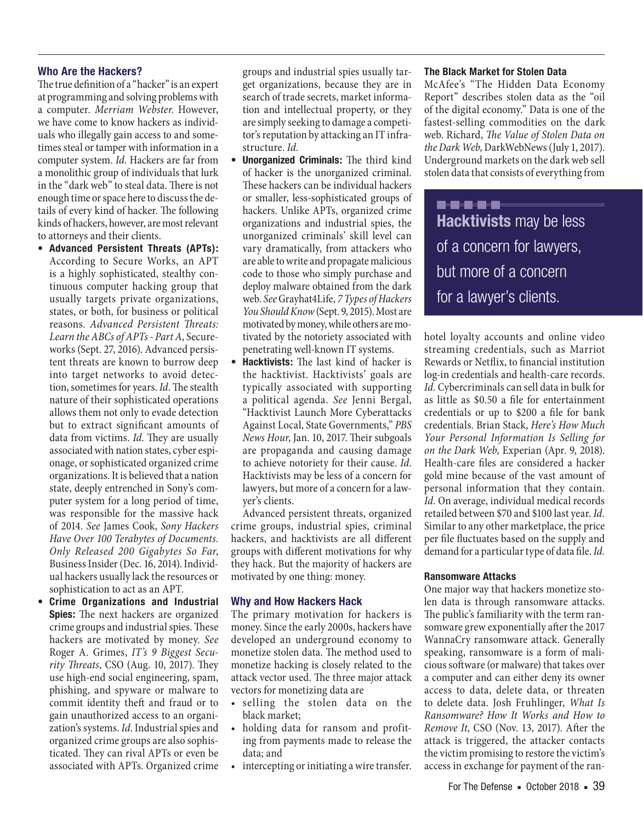#### **Who Are the Hackers?**

The true definition of a "hacker" is an expert at programming and solving problems with a computer. *Merriam Webster*. However, we have come to know hackers as individuals who illegally gain access to and sometimes steal or tamper with information in a computer system. *Id.* Hackers are far from a monolithic group of individuals that lurk in the "dark web" to steal data. There is not enough time or space here to discuss the details of every kind of hacker. The following kinds of hackers, however, are most relevant to attorneys and their clients.

- **• Advanced Persistent Threats (APTs):**  According to Secure Works, an APT is a highly sophisticated, stealthy continuous computer hacking group that usually targets private organizations, states, or both, for business or political reasons*. Advanced Persistent Threats: Learn the ABCs of APTs - Part A*, Secureworks (Sept. 27, 2016). Advanced persistent threats are known to burrow deep into target networks to avoid detection, sometimes for years. *Id*. The stealth nature of their sophisticated operations allows them not only to evade detection but to extract significant amounts of data from victims. *Id*. They are usually associated with nation states, cyber espionage, or sophisticated organized crime organizations. It is believed that a nation state, deeply entrenched in Sony's computer system for a long period of time, was responsible for the massive hack of 2014. *See* James Cook, *Sony Hackers Have Over 100 Terabytes of Documents. Only Released 200 Gigabytes So Far*, Business Insider (Dec. 16, 2014). Individual hackers usually lack the resources or sophistication to act as an APT.
- **• Crime Organizations and Industrial Spies:** The next hackers are organized crime groups and industrial spies. These hackers are motivated by money. *See* Roger A. Grimes, *IT's 9 Biggest Security Threats*, CSO (Aug. 10, 2017). They use high-end social engineering, spam, phishing, and spyware or malware to commit identity theft and fraud or to gain unauthorized access to an organization's systems. *Id*. Industrial spies and organized crime groups are also sophisticated. They can rival APTs or even be associated with APTs. Organized crime

groups and industrial spies usually target organizations, because they are in search of trade secrets, market information and intellectual property, or they are simply seeking to damage a competitor's reputation by attacking an IT infrastructure. *Id*.

- **• Unorganized Criminals:** The third kind of hacker is the unorganized criminal. These hackers can be individual hackers or smaller, less-sophisticated groups of hackers. Unlike APTs, organized crime organizations and industrial spies, the unorganized criminals' skill level can vary dramatically, from attackers who are able to write and propagate malicious code to those who simply purchase and deploy malware obtained from the dark web. *See* Grayhat4Life, *7 Types of Hackers You Should Know* (Sept. 9, 2015). Most are motivated by money, while others are motivated by the notoriety associated with penetrating well-known IT systems.
- **• Hacktivists:** The last kind of hacker is the hacktivist. Hacktivists' goals are typically associated with supporting a political agenda. *See* Jenni Bergal, "Hacktivist Launch More Cyberattacks Against Local, State Governments," *PBS News Hour*, Jan. 10, 2017. Their subgoals are propaganda and causing damage to achieve notoriety for their cause. *Id*. Hacktivists may be less of a concern for lawyers, but more of a concern for a lawyer's clients.

Advanced persistent threats, organized crime groups, industrial spies, criminal hackers, and hacktivists are all different groups with different motivations for why they hack. But the majority of hackers are motivated by one thing: money.

#### **Why and How Hackers Hack**

The primary motivation for hackers is money. Since the early 2000s, hackers have developed an underground economy to monetize stolen data. The method used to monetize hacking is closely related to the attack vector used. The three major attack vectors for monetizing data are

- selling the stolen data on the black market;
- holding data for ransom and profiting from payments made to release the data; and
- intercepting or initiating a wire transfer.

#### **The Black Market for Stolen Data**

McAfee's "The Hidden Data Economy Report" describes stolen data as the "oil of the digital economy." Data is one of the fastest-selling commodities on the dark web. Richard, *The Value of Stolen Data on the Dark Web*, DarkWebNews (July 1, 2017). Underground markets on the dark web sell stolen data that consists of everything from

..... **Hacktivists** may be less of a concern for lawyers, but more of a concern for a lawyer's clients.

hotel loyalty accounts and online video streaming credentials, such as Marriot Rewards or Netflix, to financial institution log-in credentials and health-care records. *Id.* Cybercriminals can sell data in bulk for as little as \$0.50 a file for entertainment credentials or up to \$200 a file for bank credentials. Brian Stack, *Here's How Much Your Personal Information Is Selling for on the Dark Web*, Experian (Apr. 9, 2018). Health-care files are considered a hacker gold mine because of the vast amount of personal information that they contain. *Id.* On average, individual medical records retailed between \$70 and \$100 last year. *Id.* Similar to any other marketplace, the price per file fluctuates based on the supply and demand for a particular type of data file. *Id.*

#### **Ransomware Attacks**

One major way that hackers monetize stolen data is through ransomware attacks. The public's familiarity with the term ransomware grew exponentially after the 2017 WannaCry ransomware attack. Generally speaking, ransomware is a form of malicious software (or malware) that takes over a computer and can either deny its owner access to data, delete data, or threaten to delete data. Josh Fruhlinger, *What Is Ransomware? How It Works and How to Remove It*, CSO (Nov. 13, 2017). After the attack is triggered, the attacker contacts the victim promising to restore the victim's access in exchange for payment of the ran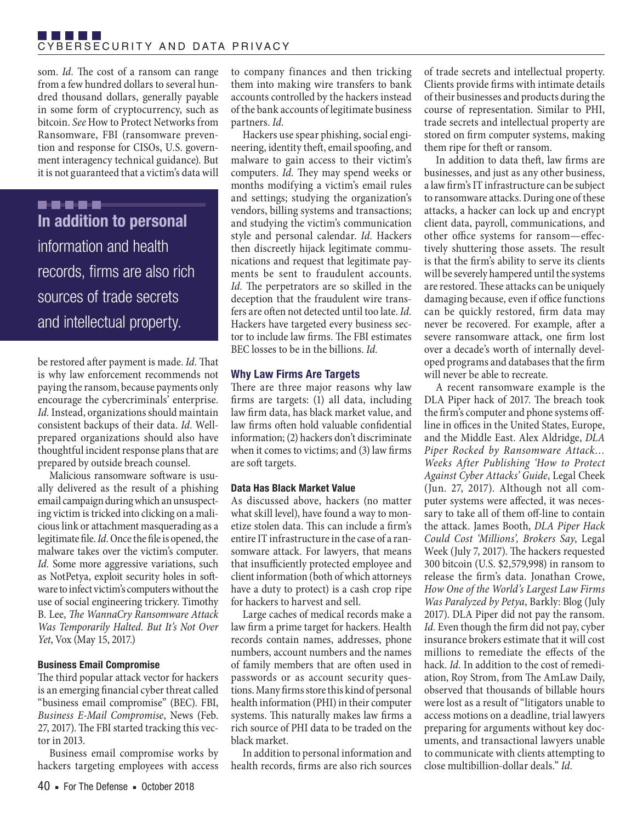som. *Id.* The cost of a ransom can range from a few hundred dollars to several hundred thousand dollars, generally payable in some form of cryptocurrency, such as bitcoin. *See* How to Protect Networks from Ransomware, FBI (ransomware prevention and response for CISOs, U.S. government interagency technical guidance). But it is not guaranteed that a victim's data will

..... **In addition to personal** information and health records, firms are also rich sources of trade secrets and intellectual property.

be restored after payment is made. *Id.* That is why law enforcement recommends not paying the ransom, because payments only encourage the cybercriminals' enterprise. *Id.* Instead, organizations should maintain consistent backups of their data. *Id.* Wellprepared organizations should also have thoughtful incident response plans that are prepared by outside breach counsel.

Malicious ransomware software is usually delivered as the result of a phishing email campaign during which an unsuspecting victim is tricked into clicking on a malicious link or attachment masquerading as a legitimate file. *Id.* Once the file is opened, the malware takes over the victim's computer. *Id.* Some more aggressive variations, such as NotPetya, exploit security holes in software to infect victim's computers without the use of social engineering trickery. Timothy B. Lee, *The WannaCry Ransomware Attack Was Temporarily Halted. But It's Not Over Yet*, Vox (May 15, 2017.)

#### **Business Email Compromise**

The third popular attack vector for hackers is an emerging financial cyber threat called "business email compromise" (BEC). FBI, *Business E-Mail Compromise*, News (Feb. 27, 2017). The FBI started tracking this vector in 2013.

Business email compromise works by hackers targeting employees with access

to company finances and then tricking them into making wire transfers to bank accounts controlled by the hackers instead of the bank accounts of legitimate business partners. *Id.*

Hackers use spear phishing, social engineering, identity theft, email spoofing, and malware to gain access to their victim's computers. *Id.* They may spend weeks or months modifying a victim's email rules and settings; studying the organization's vendors, billing systems and transactions; and studying the victim's communication style and personal calendar. *Id.* Hackers then discreetly hijack legitimate communications and request that legitimate payments be sent to fraudulent accounts. *Id.* The perpetrators are so skilled in the deception that the fraudulent wire transfers are often not detected until too late. *Id.* Hackers have targeted every business sector to include law firms. The FBI estimates BEC losses to be in the billions. *Id.*

### **Why Law Firms Are Targets**

There are three major reasons why law firms are targets: (1) all data, including law firm data, has black market value, and law firms often hold valuable confidential information; (2) hackers don't discriminate when it comes to victims; and (3) law firms are soft targets.

# **Data Has Black Market Value**

As discussed above, hackers (no matter what skill level), have found a way to monetize stolen data. This can include a firm's entire IT infrastructure in the case of a ransomware attack. For lawyers, that means that insufficiently protected employee and client information (both of which attorneys have a duty to protect) is a cash crop ripe for hackers to harvest and sell.

Large caches of medical records make a law firm a prime target for hackers. Health records contain names, addresses, phone numbers, account numbers and the names of family members that are often used in passwords or as account security questions. Many firms store this kind of personal health information (PHI) in their computer systems. This naturally makes law firms a rich source of PHI data to be traded on the black market.

In addition to personal information and health records, firms are also rich sources of trade secrets and intellectual property. Clients provide firms with intimate details of their businesses and products during the course of representation. Similar to PHI, trade secrets and intellectual property are stored on firm computer systems, making them ripe for theft or ransom.

In addition to data theft, law firms are businesses, and just as any other business, a law firm's IT infrastructure can be subject to ransomware attacks. During one of these attacks, a hacker can lock up and encrypt client data, payroll, communications, and other office systems for ransom—effectively shuttering those assets. The result is that the firm's ability to serve its clients will be severely hampered until the systems are restored. These attacks can be uniquely damaging because, even if office functions can be quickly restored, firm data may never be recovered. For example, after a severe ransomware attack, one firm lost over a decade's worth of internally developed programs and databases that the firm will never be able to recreate.

A recent ransomware example is the DLA Piper hack of 2017. The breach took the firm's computer and phone systems offline in offices in the United States, Europe, and the Middle East. Alex Aldridge, *DLA Piper Rocked by Ransomware Attack… Weeks After Publishing 'How to Protect Against Cyber Attacks' Guide*, Legal Cheek (Jun. 27, 2017). Although not all computer systems were affected, it was necessary to take all of them off-line to contain the attack. James Booth, *DLA Piper Hack Could Cost 'Millions', Brokers Say*, Legal Week (July 7, 2017). The hackers requested 300 bitcoin (U.S. \$2,579,998) in ransom to release the firm's data. Jonathan Crowe, *How One of the World's Largest Law Firms Was Paralyzed by Petya*, Barkly: Blog (July 2017). DLA Piper did not pay the ransom. *Id.* Even though the firm did not pay, cyber insurance brokers estimate that it will cost millions to remediate the effects of the hack. *Id.* In addition to the cost of remediation, Roy Strom, from The AmLaw Daily, observed that thousands of billable hours were lost as a result of "litigators unable to access motions on a deadline, trial lawyers preparing for arguments without key documents, and transactional lawyers unable to communicate with clients attempting to close multibillion-dollar deals." *Id.*